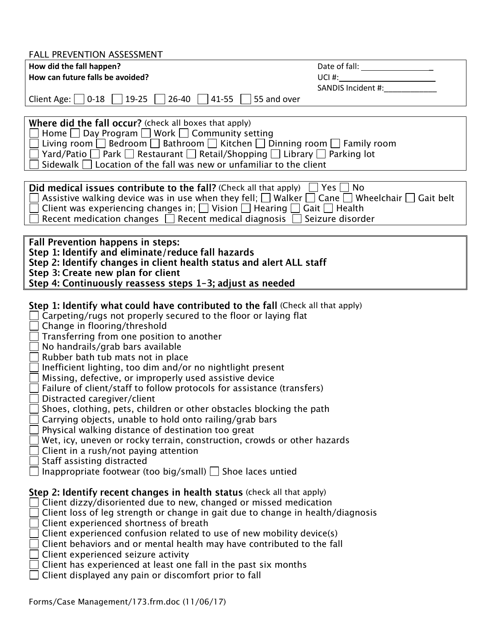| <b>FALL PREVENTION ASSESSMENT</b>                                                                                                                                                                                                                                                                                                                                                                                                                                                                                                                                                                                                                                                                                                                                                                                                                                                                                                                         |                                                                                                                                                                                                                                                     |
|-----------------------------------------------------------------------------------------------------------------------------------------------------------------------------------------------------------------------------------------------------------------------------------------------------------------------------------------------------------------------------------------------------------------------------------------------------------------------------------------------------------------------------------------------------------------------------------------------------------------------------------------------------------------------------------------------------------------------------------------------------------------------------------------------------------------------------------------------------------------------------------------------------------------------------------------------------------|-----------------------------------------------------------------------------------------------------------------------------------------------------------------------------------------------------------------------------------------------------|
| How did the fall happen?                                                                                                                                                                                                                                                                                                                                                                                                                                                                                                                                                                                                                                                                                                                                                                                                                                                                                                                                  |                                                                                                                                                                                                                                                     |
| How can future falls be avoided?                                                                                                                                                                                                                                                                                                                                                                                                                                                                                                                                                                                                                                                                                                                                                                                                                                                                                                                          | $UCI$ #: $T = 1$ and $T = 1$ and $T = 1$ and $T = 1$ and $T = 1$ and $T = 1$ and $T = 1$ and $T = 1$ and $T = 1$ and $T = 1$ and $T = 1$ and $T = 1$ and $T = 1$ and $T = 1$ and $T = 1$ and $T = 1$ and $T = 1$ and $T = 1$ and $T = 1$ and $T = $ |
|                                                                                                                                                                                                                                                                                                                                                                                                                                                                                                                                                                                                                                                                                                                                                                                                                                                                                                                                                           | SANDIS Incident #:                                                                                                                                                                                                                                  |
| $19-25$    <br>$41-55$<br>55 and over<br>Client Age: $  0-18  $<br>$26-40$                                                                                                                                                                                                                                                                                                                                                                                                                                                                                                                                                                                                                                                                                                                                                                                                                                                                                |                                                                                                                                                                                                                                                     |
|                                                                                                                                                                                                                                                                                                                                                                                                                                                                                                                                                                                                                                                                                                                                                                                                                                                                                                                                                           |                                                                                                                                                                                                                                                     |
| Where did the fall occur? (check all boxes that apply)<br>Home $\Box$ Day Program $\Box$ Work $\Box$ Community setting                                                                                                                                                                                                                                                                                                                                                                                                                                                                                                                                                                                                                                                                                                                                                                                                                                    |                                                                                                                                                                                                                                                     |
| Living room $\Box$ Bedroom $\Box$ Bathroom $\Box$ Kitchen $\Box$ Dinning room $\Box$ Family room                                                                                                                                                                                                                                                                                                                                                                                                                                                                                                                                                                                                                                                                                                                                                                                                                                                          |                                                                                                                                                                                                                                                     |
| $\Box$ Yard/Patio $\Box$ Park $\Box$ Restaurant $\Box$ Retail/Shopping $\Box$ Library $\Box$ Parking lot                                                                                                                                                                                                                                                                                                                                                                                                                                                                                                                                                                                                                                                                                                                                                                                                                                                  |                                                                                                                                                                                                                                                     |
| Sidewalk $\Box$ Location of the fall was new or unfamiliar to the client                                                                                                                                                                                                                                                                                                                                                                                                                                                                                                                                                                                                                                                                                                                                                                                                                                                                                  |                                                                                                                                                                                                                                                     |
|                                                                                                                                                                                                                                                                                                                                                                                                                                                                                                                                                                                                                                                                                                                                                                                                                                                                                                                                                           |                                                                                                                                                                                                                                                     |
| <b>Did medical issues contribute to the fall?</b> (Check all that apply) $\Box$ Yes $\Box$ No                                                                                                                                                                                                                                                                                                                                                                                                                                                                                                                                                                                                                                                                                                                                                                                                                                                             |                                                                                                                                                                                                                                                     |
| Assistive walking device was in use when they fell; $\Box$ Walker $\Box$ Cane $\Box$ Wheelchair $\Box$ Gait belt                                                                                                                                                                                                                                                                                                                                                                                                                                                                                                                                                                                                                                                                                                                                                                                                                                          |                                                                                                                                                                                                                                                     |
| Client was experiencing changes in; $\Box$ Vision $\Box$ Hearing $\Box$ Gait $\Box$ Health<br>Seizure disorder                                                                                                                                                                                                                                                                                                                                                                                                                                                                                                                                                                                                                                                                                                                                                                                                                                            |                                                                                                                                                                                                                                                     |
| Recent medication changes $\Box$ Recent medical diagnosis                                                                                                                                                                                                                                                                                                                                                                                                                                                                                                                                                                                                                                                                                                                                                                                                                                                                                                 |                                                                                                                                                                                                                                                     |
| <b>Fall Prevention happens in steps:</b>                                                                                                                                                                                                                                                                                                                                                                                                                                                                                                                                                                                                                                                                                                                                                                                                                                                                                                                  |                                                                                                                                                                                                                                                     |
| Step 1: Identify and eliminate/reduce fall hazards                                                                                                                                                                                                                                                                                                                                                                                                                                                                                                                                                                                                                                                                                                                                                                                                                                                                                                        |                                                                                                                                                                                                                                                     |
| Step 2: Identify changes in client health status and alert ALL staff                                                                                                                                                                                                                                                                                                                                                                                                                                                                                                                                                                                                                                                                                                                                                                                                                                                                                      |                                                                                                                                                                                                                                                     |
| Step 3: Create new plan for client                                                                                                                                                                                                                                                                                                                                                                                                                                                                                                                                                                                                                                                                                                                                                                                                                                                                                                                        |                                                                                                                                                                                                                                                     |
| Step 4: Continuously reassess steps 1-3; adjust as needed                                                                                                                                                                                                                                                                                                                                                                                                                                                                                                                                                                                                                                                                                                                                                                                                                                                                                                 |                                                                                                                                                                                                                                                     |
| Step 1: Identify what could have contributed to the fall (Check all that apply)<br>Carpeting/rugs not properly secured to the floor or laying flat<br>Change in flooring/threshold<br>Transferring from one position to another<br>No handrails/grab bars available<br>Rubber bath tub mats not in place<br>Inefficient lighting, too dim and/or no nightlight present<br>Missing, defective, or improperly used assistive device<br>Failure of client/staff to follow protocols for assistance (transfers)<br>Distracted caregiver/client<br>Shoes, clothing, pets, children or other obstacles blocking the path<br>Carrying objects, unable to hold onto railing/grab bars<br>Physical walking distance of destination too great<br>Wet, icy, uneven or rocky terrain, construction, crowds or other hazards<br>Client in a rush/not paying attention<br>Staff assisting distracted<br>Inappropriate footwear (too big/small) $\Box$ Shoe laces untied |                                                                                                                                                                                                                                                     |
| Step 2: Identify recent changes in health status (check all that apply)<br>Client dizzy/disoriented due to new, changed or missed medication<br>Client loss of leg strength or change in gait due to change in health/diagnosis<br>Client experienced shortness of breath<br>Client experienced confusion related to use of new mobility device(s)<br>Client behaviors and or mental health may have contributed to the fall<br>Client experienced seizure activity<br>Client has experienced at least one fall in the past six months<br>Client displayed any pain or discomfort prior to fall                                                                                                                                                                                                                                                                                                                                                           |                                                                                                                                                                                                                                                     |